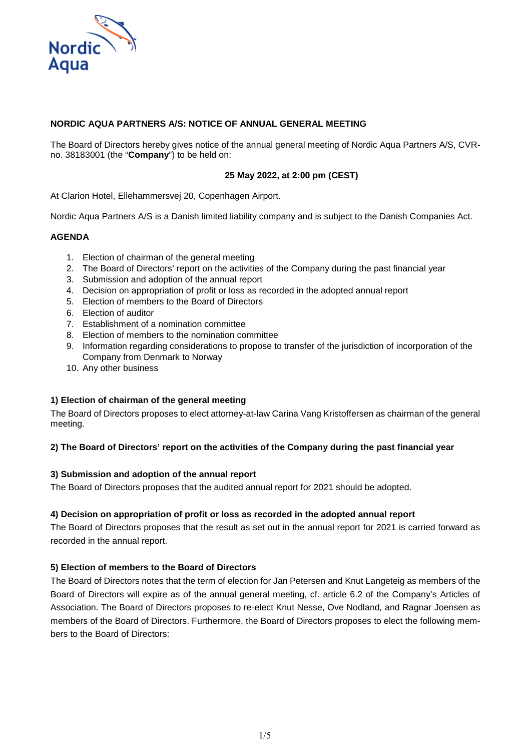

# **NORDIC AQUA PARTNERS A/S: NOTICE OF ANNUAL GENERAL MEETING**

The Board of Directors hereby gives notice of the annual general meeting of Nordic Aqua Partners A/S, CVRno. 38183001 (the "**Company**") to be held on:

## **25 May 2022, at 2:00 pm (CEST)**

At Clarion Hotel, Ellehammersvej 20, Copenhagen Airport.

Nordic Aqua Partners A/S is a Danish limited liability company and is subject to the Danish Companies Act.

## **AGENDA**

- 1. Election of chairman of the general meeting
- 2. The Board of Directors' report on the activities of the Company during the past financial year
- 3. Submission and adoption of the annual report
- 4. Decision on appropriation of profit or loss as recorded in the adopted annual report
- 5. Election of members to the Board of Directors
- 6. Election of auditor
- 7. Establishment of a nomination committee
- 8. Election of members to the nomination committee
- 9. Information regarding considerations to propose to transfer of the jurisdiction of incorporation of the Company from Denmark to Norway
- 10. Any other business

#### **1) Election of chairman of the general meeting**

The Board of Directors proposes to elect attorney-at-law Carina Vang Kristoffersen as chairman of the general meeting.

#### **2) The Board of Directors' report on the activities of the Company during the past financial year**

## **3) Submission and adoption of the annual report**

The Board of Directors proposes that the audited annual report for 2021 should be adopted.

#### **4) Decision on appropriation of profit or loss as recorded in the adopted annual report**

The Board of Directors proposes that the result as set out in the annual report for 2021 is carried forward as recorded in the annual report.

#### **5) Election of members to the Board of Directors**

The Board of Directors notes that the term of election for Jan Petersen and Knut Langeteig as members of the Board of Directors will expire as of the annual general meeting, cf. article 6.2 of the Company's Articles of Association. The Board of Directors proposes to re-elect Knut Nesse, Ove Nodland*,* and Ragnar Joensen as members of the Board of Directors. Furthermore, the Board of Directors proposes to elect the following members to the Board of Directors: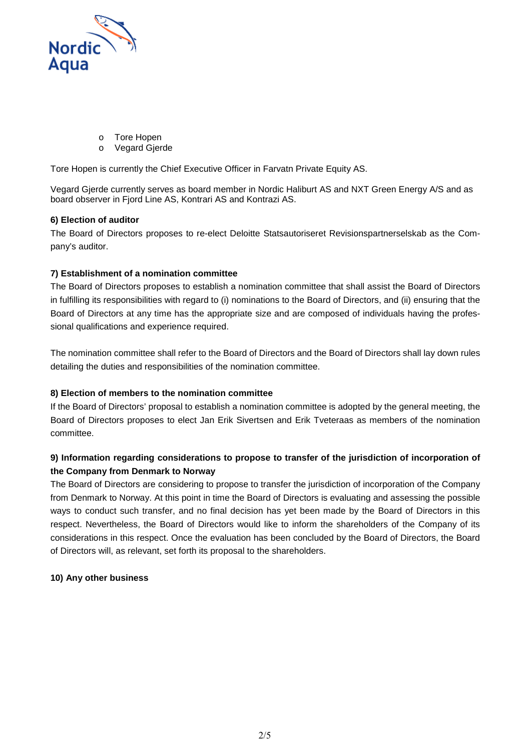

- o Tore Hopen
- Vegard Gjerde

Tore Hopen is currently the Chief Executive Officer in Farvatn Private Equity AS.

Vegard Gjerde currently serves as board member in Nordic Haliburt AS and NXT Green Energy A/S and as board observer in Fjord Line AS, Kontrari AS and Kontrazi AS.

# **6) Election of auditor**

The Board of Directors proposes to re-elect Deloitte Statsautoriseret Revisionspartnerselskab as the Company's auditor.

# **7) Establishment of a nomination committee**

The Board of Directors proposes to establish a nomination committee that shall assist the Board of Directors in fulfilling its responsibilities with regard to (i) nominations to the Board of Directors, and (ii) ensuring that the Board of Directors at any time has the appropriate size and are composed of individuals having the professional qualifications and experience required.

The nomination committee shall refer to the Board of Directors and the Board of Directors shall lay down rules detailing the duties and responsibilities of the nomination committee.

## **8) Election of members to the nomination committee**

If the Board of Directors' proposal to establish a nomination committee is adopted by the general meeting, the Board of Directors proposes to elect Jan Erik Sivertsen and Erik Tveteraas as members of the nomination committee.

# **9) Information regarding considerations to propose to transfer of the jurisdiction of incorporation of the Company from Denmark to Norway**

The Board of Directors are considering to propose to transfer the jurisdiction of incorporation of the Company from Denmark to Norway. At this point in time the Board of Directors is evaluating and assessing the possible ways to conduct such transfer, and no final decision has yet been made by the Board of Directors in this respect. Nevertheless, the Board of Directors would like to inform the shareholders of the Company of its considerations in this respect. Once the evaluation has been concluded by the Board of Directors, the Board of Directors will, as relevant, set forth its proposal to the shareholders.

## **10) Any other business**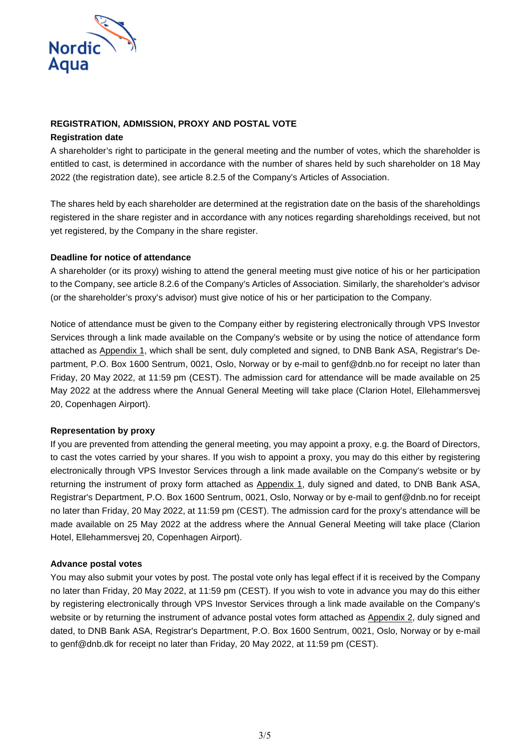

# **REGISTRATION, ADMISSION, PROXY AND POSTAL VOTE**

## **Registration date**

A shareholder's right to participate in the general meeting and the number of votes, which the shareholder is entitled to cast, is determined in accordance with the number of shares held by such shareholder on 18 May 2022 (the registration date), see article 8.2.5 of the Company's Articles of Association.

The shares held by each shareholder are determined at the registration date on the basis of the shareholdings registered in the share register and in accordance with any notices regarding shareholdings received, but not yet registered, by the Company in the share register.

# **Deadline for notice of attendance**

A shareholder (or its proxy) wishing to attend the general meeting must give notice of his or her participation to the Company, see article 8.2.6 of the Company's Articles of Association. Similarly, the shareholder's advisor (or the shareholder's proxy's advisor) must give notice of his or her participation to the Company.

Notice of attendance must be given to the Company either by registering electronically through VPS Investor Services through a link made available on the Company's website or by using the notice of attendance form attached as Appendix 1, which shall be sent, duly completed and signed, to DNB Bank ASA, Registrar's Department, P.O. Box 1600 Sentrum, 0021, Oslo, Norway or by e-mail to genf@dnb.no for receipt no later than Friday, 20 May 2022, at 11:59 pm (CEST). The admission card for attendance will be made available on 25 May 2022 at the address where the Annual General Meeting will take place (Clarion Hotel, Ellehammersvej 20, Copenhagen Airport).

## **Representation by proxy**

If you are prevented from attending the general meeting, you may appoint a proxy, e.g. the Board of Directors, to cast the votes carried by your shares. If you wish to appoint a proxy, you may do this either by registering electronically through VPS Investor Services through a link made available on the Company's website or by returning the instrument of proxy form attached as Appendix 1, duly signed and dated, to DNB Bank ASA, Registrar's Department, P.O. Box 1600 Sentrum, 0021, Oslo, Norway or by e-mail to genf@dnb.no for receipt no later than Friday, 20 May 2022, at 11:59 pm (CEST). The admission card for the proxy's attendance will be made available on 25 May 2022 at the address where the Annual General Meeting will take place (Clarion Hotel, Ellehammersvej 20, Copenhagen Airport).

## **Advance postal votes**

You may also submit your votes by post. The postal vote only has legal effect if it is received by the Company no later than Friday, 20 May 2022, at 11:59 pm (CEST). If you wish to vote in advance you may do this either by registering electronically through VPS Investor Services through a link made available on the Company's website or by returning the instrument of advance postal votes form attached as Appendix 2, duly signed and dated, to DNB Bank ASA, Registrar's Department, P.O. Box 1600 Sentrum, 0021, Oslo, Norway or by e-mail to genf@dnb.dk for receipt no later than Friday, 20 May 2022, at 11:59 pm (CEST).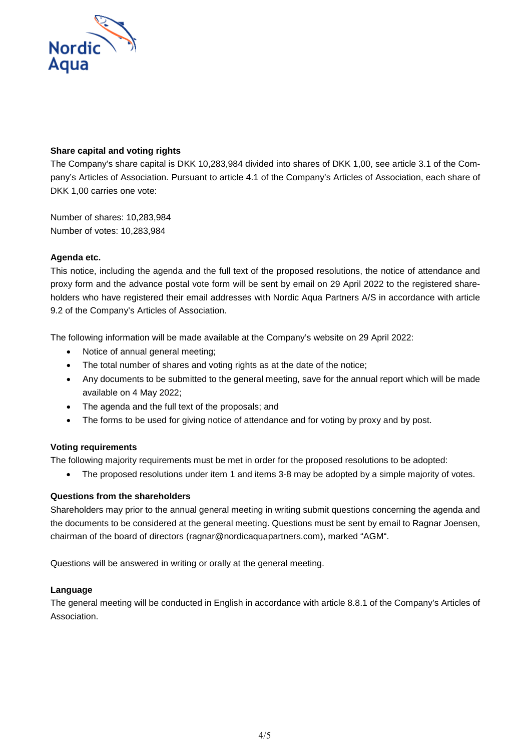

# **Share capital and voting rights**

The Company's share capital is DKK 10,283,984 divided into shares of DKK 1,00, see article 3.1 of the Company's Articles of Association. Pursuant to article 4.1 of the Company's Articles of Association, each share of DKK 1,00 carries one vote:

Number of shares: 10,283,984 Number of votes: 10,283,984

# **Agenda etc.**

This notice, including the agenda and the full text of the proposed resolutions, the notice of attendance and proxy form and the advance postal vote form will be sent by email on 29 April 2022 to the registered shareholders who have registered their email addresses with Nordic Aqua Partners A/S in accordance with article 9.2 of the Company's Articles of Association.

The following information will be made available at the Company's website on 29 April 2022:

- Notice of annual general meeting;
- The total number of shares and voting rights as at the date of the notice;
- Any documents to be submitted to the general meeting, save for the annual report which will be made available on 4 May 2022;
- The agenda and the full text of the proposals; and
- The forms to be used for giving notice of attendance and for voting by proxy and by post.

## **Voting requirements**

The following majority requirements must be met in order for the proposed resolutions to be adopted:

• The proposed resolutions under item 1 and items 3-8 may be adopted by a simple majority of votes.

## **Questions from the shareholders**

Shareholders may prior to the annual general meeting in writing submit questions concerning the agenda and the documents to be considered at the general meeting. Questions must be sent by email to Ragnar Joensen, chairman of the board of directors (ragnar@nordicaquapartners.com), marked "AGM".

Questions will be answered in writing or orally at the general meeting.

## **Language**

The general meeting will be conducted in English in accordance with article 8.8.1 of the Company's Articles of Association.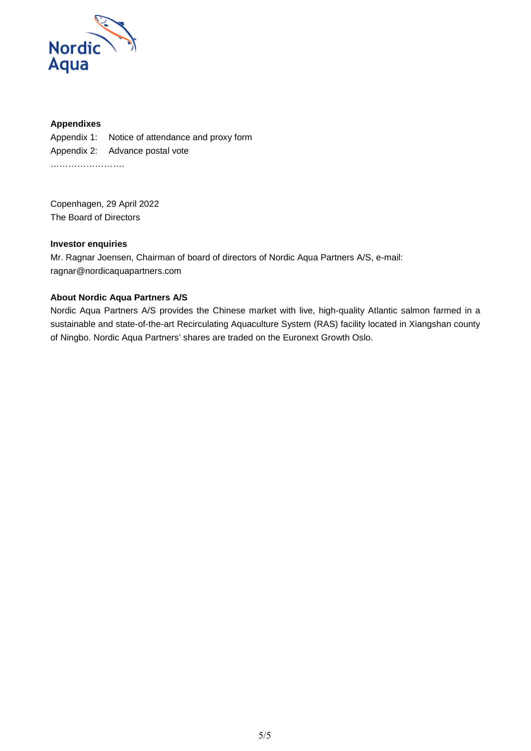

# **Appendixes**

Appendix 1: Notice of attendance and proxy form Appendix 2: Advance postal vote …………………….

Copenhagen, 29 April 2022 The Board of Directors

### **Investor enquiries**

Mr. Ragnar Joensen, Chairman of board of directors of Nordic Aqua Partners A/S, e-mail: ragnar@nordicaquapartners.com

## **About Nordic Aqua Partners A/S**

Nordic Aqua Partners A/S provides the Chinese market with live, high-quality Atlantic salmon farmed in a sustainable and state-of-the-art Recirculating Aquaculture System (RAS) facility located in Xiangshan county of Ningbo. Nordic Aqua Partners' shares are traded on the Euronext Growth Oslo.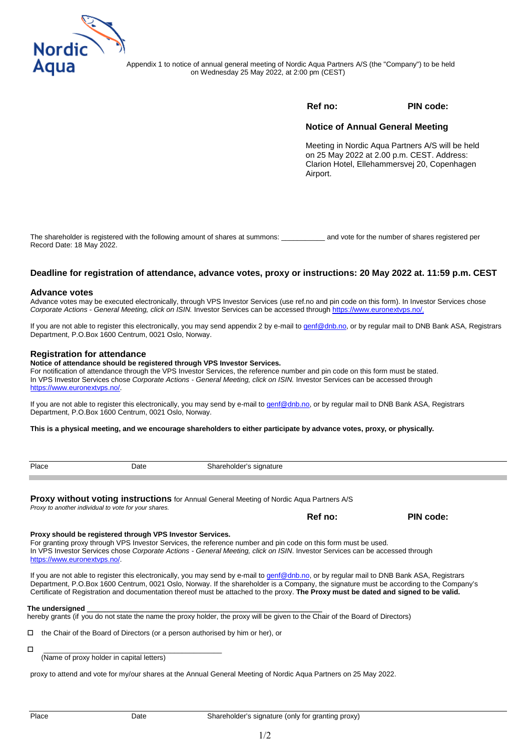

Appendix 1 to notice of annual general meeting of Nordic Aqua Partners A/S (the "Company") to be held on Wednesday 25 May 2022, at 2:00 pm (CEST)

### **Ref no: PIN code:**

#### **Notice of Annual General Meeting**

Meeting in Nordic Aqua Partners A/S will be held on 25 May 2022 at 2.00 p.m. CEST. Address: Clarion Hotel, Ellehammersvej 20, Copenhagen Airport.

The shareholder is registered with the following amount of shares at summons: \_\_\_\_\_\_\_\_\_\_\_ and vote for the number of shares registered per Record Date: 18 May 2022.

#### **Deadline for registration of attendance, advance votes, proxy or instructions: 20 May 2022 at. 11:59 p.m. CEST**

#### **Advance votes**

Advance votes may be executed electronically, through VPS Investor Services (use ref.no and pin code on this form). In Investor Services chose *Corporate Actions - General Meeting, click on ISIN.* Investor Services can be accessed through [https://www.euronextvps.no/.](https://www.euronextvps.no/) 

If you are not able to register this electronically, you may send appendix 2 by e-mail t[o genf@dnb.no,](mailto:genf@dnb.no) or by regular mail to DNB Bank ASA, Registrars Department, P.O.Box 1600 Centrum, 0021 Oslo, Norway.

#### **Registration for attendance**

#### **Notice of attendance should be registered through VPS Investor Services.**

[For notification of attendance](https://www.euronextvps.no/) through the VPS Investor Services, the reference number and pin code on this form must be stated. In VPS Investor Services chose *Corporate Actions - General Meeting, click on ISIN.* Investor Services can be accessed through https://www.euronextvps.no/.

If you are not able to register this electronically, you may send by e-mail to [genf@dnb.no,](mailto:genf@dnb.no) or by regular mail to DNB Bank ASA, Registrars Department, P.O.Box 1600 Centrum, 0021 Oslo, Norway.

**This is a physical meeting, and we encourage shareholders to either participate by advance votes, proxy, or physically.** 

| Place                        | Date                                                      | Shareholder's signature                                                                                                                                                                                                                                                            |         |                                                                                                                                        |
|------------------------------|-----------------------------------------------------------|------------------------------------------------------------------------------------------------------------------------------------------------------------------------------------------------------------------------------------------------------------------------------------|---------|----------------------------------------------------------------------------------------------------------------------------------------|
|                              | Proxy to another individual to vote for your shares.      | Proxy without voting instructions for Annual General Meeting of Nordic Aqua Partners A/S                                                                                                                                                                                           |         |                                                                                                                                        |
|                              |                                                           |                                                                                                                                                                                                                                                                                    | Ref no: | PIN code:                                                                                                                              |
| https://www.euronextyps.no/. | Proxy should be registered through VPS Investor Services. | For granting proxy through VPS Investor Services, the reference number and pin code on this form must be used.<br>In VPS Investor Services chose Corporate Actions - General Meeting, click on ISIN. Investor Services can be accessed through                                     |         |                                                                                                                                        |
|                              |                                                           | If you are not able to register this electronically, you may send by e-mail to genf@dnb.no, or by regular mail to DNB Bank ASA, Registrars<br>Certificate of Registration and documentation thereof must be attached to the proxy. The Proxy must be dated and signed to be valid. |         | Department, P.O.Box 1600 Centrum, 0021 Oslo, Norway. If the shareholder is a Company, the signature must be according to the Company's |
| The undersigned              |                                                           | hereby grants (if you do not state the name the proxy holder, the proxy will be given to the Chair of the Board of Directors)                                                                                                                                                      |         |                                                                                                                                        |
|                              |                                                           | $\Box$ and a $\triangle$ and a failed $\Box$ and a failed $\Box$ and a second constant of the failure of the $\triangle$ and $\Box$                                                                                                                                                |         |                                                                                                                                        |

 $\Box$  the Chair of the Board of Directors (or a person authorised by him or her), or

 \_\_\_\_\_\_\_\_\_\_\_\_\_\_\_\_\_\_\_\_\_\_\_\_\_\_\_\_\_\_\_\_\_\_\_\_\_\_\_\_\_\_\_\_\_ (Name of proxy holder in capital letters)

proxy to attend and vote for my/our shares at the Annual General Meeting of Nordic Aqua Partners on 25 May 2022.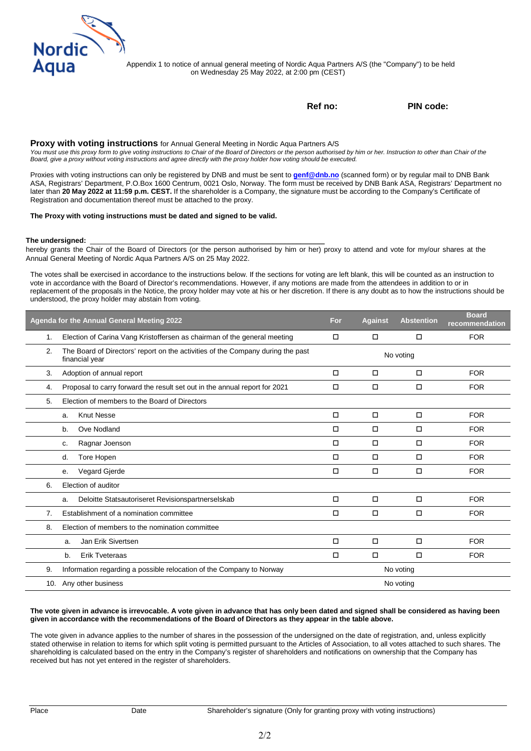

on Wednesday 25 May 2022, at 2:00 pm (CEST) Appendix 1 to notice of annual general meeting of Nordic Aqua Partners A/S (the "Company") to be held

**Ref no: PIN code:** 

#### **Proxy with voting instructions** for Annual General Meeting in Nordic Aqua Partners A/S

You must use this proxy form to give voting instructions to Chair of the Board of Directors or the person authorised by him or her. Instruction to other than Chair of the *Board, give a proxy without voting instructions and agree directly with the proxy holder how voting should be executed.*

Proxies with voting instructions can only be registered by DNB and must be sent to **[genf@dnb.no](mailto:genf@dnb.no)** (scanned form) or by regular mail to DNB Bank ASA, Registrars' Department, P.O.Box 1600 Centrum, 0021 Oslo, Norway. The form must be received by DNB Bank ASA, Registrars' Department no later than **20 May 2022 at 11:59 p.m. CEST.** If the shareholder is a Company, the signature must be according to the Company's Certificate of Registration and documentation thereof must be attached to the proxy.

#### **The Proxy with voting instructions must be dated and signed to be valid.**

#### **The undersigned:** \_\_\_\_\_\_\_\_\_\_\_\_\_\_\_\_\_\_\_\_\_\_\_**\_\_\_\_\_\_\_\_\_\_\_\_\_\_\_\_\_\_\_\_\_\_\_\_\_\_\_\_\_\_\_\_\_\_\_\_**

hereby grants the Chair of the Board of Directors (or the person authorised by him or her) proxy to attend and vote for my/our shares at the Annual General Meeting of Nordic Aqua Partners A/S on 25 May 2022.

The votes shall be exercised in accordance to the instructions below. If the sections for voting are left blank, this will be counted as an instruction to vote in accordance with the Board of Director's recommendations. However, if any motions are made from the attendees in addition to or in replacement of the proposals in the Notice, the proxy holder may vote at his or her discretion. If there is any doubt as to how the instructions should be understood, the proxy holder may abstain from voting.

|    | Agenda for the Annual General Meeting 2022                                                        | For    | <b>Against</b> | <b>Abstention</b> | <b>Board</b><br>recommendation |
|----|---------------------------------------------------------------------------------------------------|--------|----------------|-------------------|--------------------------------|
| 1. | Election of Carina Vang Kristoffersen as chairman of the general meeting                          | □      | $\Box$         | □                 | <b>FOR</b>                     |
| 2. | The Board of Directors' report on the activities of the Company during the past<br>financial year |        |                | No voting         |                                |
| 3. | Adoption of annual report                                                                         | □      | □              | □                 | <b>FOR</b>                     |
| 4. | Proposal to carry forward the result set out in the annual report for 2021                        | П      | $\Box$         | □                 | <b>FOR</b>                     |
| 5. | Election of members to the Board of Directors                                                     |        |                |                   |                                |
|    | <b>Knut Nesse</b><br>a.                                                                           | $\Box$ | $\Box$         | □                 | <b>FOR</b>                     |
|    | Ove Nodland<br>b.                                                                                 | $\Box$ | $\Box$         | □                 | <b>FOR</b>                     |
|    | Ragnar Joenson<br>c.                                                                              | $\Box$ | $\Box$         | $\Box$            | <b>FOR</b>                     |
|    | Tore Hopen<br>d.                                                                                  | $\Box$ | $\Box$         | □                 | <b>FOR</b>                     |
|    | <b>Vegard Gjerde</b><br>е.                                                                        | $\Box$ | $\Box$         | $\Box$            | <b>FOR</b>                     |
| 6. | Election of auditor                                                                               |        |                |                   |                                |
|    | Deloitte Statsautoriseret Revisionspartnerselskab<br>a.                                           | $\Box$ | $\Box$         | $\Box$            | <b>FOR</b>                     |
| 7. | Establishment of a nomination committee                                                           | □      | □              | □                 | <b>FOR</b>                     |
| 8. | Election of members to the nomination committee                                                   |        |                |                   |                                |
|    | Jan Erik Sivertsen<br>a.                                                                          | о      | $\Box$         | □                 | <b>FOR</b>                     |
|    | <b>Erik Tveteraas</b><br>b.                                                                       | о      | $\Box$         | $\Box$            | <b>FOR</b>                     |
| 9. | Information regarding a possible relocation of the Company to Norway                              |        |                | No voting         |                                |
|    | 10. Any other business                                                                            |        |                | No voting         |                                |

#### **The vote given in advance is irrevocable. A vote given in advance that has only been dated and signed shall be considered as having been given in accordance with the recommendations of the Board of Directors as they appear in the table above.**

The vote given in advance applies to the number of shares in the possession of the undersigned on the date of registration, and, unless explicitly stated otherwise in relation to items for which split voting is permitted pursuant to the Articles of Association, to all votes attached to such shares. The shareholding is calculated based on the entry in the Company's register of shareholders and notifications on ownership that the Company has received but has not yet entered in the register of shareholders.